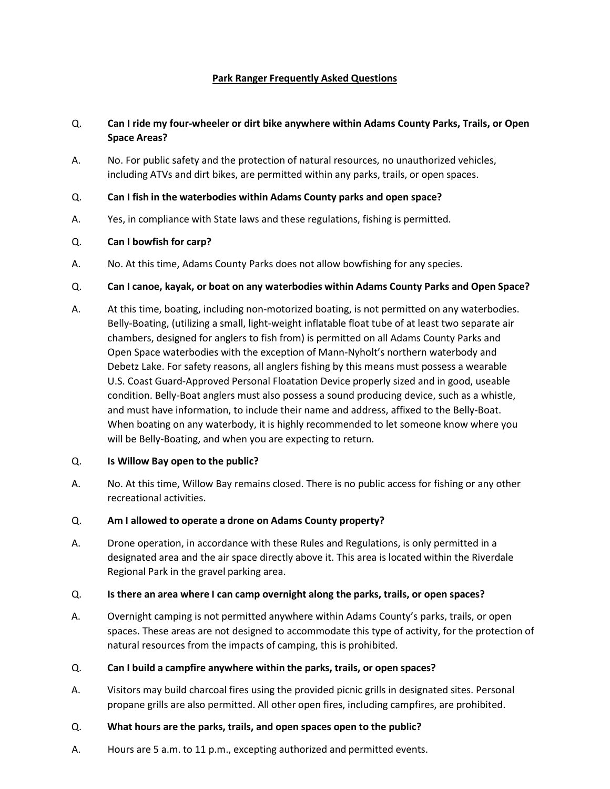### **Park Ranger Frequently Asked Questions**

# Q. **Can I ride my four-wheeler or dirt bike anywhere within Adams County Parks, Trails, or Open Space Areas?**

A. No. For public safety and the protection of natural resources, no unauthorized vehicles, including ATVs and dirt bikes, are permitted within any parks, trails, or open spaces.

### Q. **Can I fish in the waterbodies within Adams County parks and open space?**

A. Yes, in compliance with State laws and these regulations, fishing is permitted.

### Q. **Can I bowfish for carp?**

A. No. At this time, Adams County Parks does not allow bowfishing for any species.

### Q. **Can I canoe, kayak, or boat on any waterbodies within Adams County Parks and Open Space?**

A. At this time, boating, including non-motorized boating, is not permitted on any waterbodies. Belly-Boating, (utilizing a small, light-weight inflatable float tube of at least two separate air chambers, designed for anglers to fish from) is permitted on all Adams County Parks and Open Space waterbodies with the exception of Mann-Nyholt's northern waterbody and Debetz Lake. For safety reasons, all anglers fishing by this means must possess a wearable U.S. Coast Guard-Approved Personal Floatation Device properly sized and in good, useable condition. Belly-Boat anglers must also possess a sound producing device, such as a whistle, and must have information, to include their name and address, affixed to the Belly-Boat. When boating on any waterbody, it is highly recommended to let someone know where you will be Belly-Boating, and when you are expecting to return.

#### Q. **Is Willow Bay open to the public?**

A. No. At this time, Willow Bay remains closed. There is no public access for fishing or any other recreational activities.

#### Q. **Am I allowed to operate a drone on Adams County property?**

A. Drone operation, in accordance with these Rules and Regulations, is only permitted in a designated area and the air space directly above it. This area is located within the Riverdale Regional Park in the gravel parking area.

#### Q. **Is there an area where I can camp overnight along the parks, trails, or open spaces?**

A. Overnight camping is not permitted anywhere within Adams County's parks, trails, or open spaces. These areas are not designed to accommodate this type of activity, for the protection of natural resources from the impacts of camping, this is prohibited.

## Q. **Can I build a campfire anywhere within the parks, trails, or open spaces?**

A. Visitors may build charcoal fires using the provided picnic grills in designated sites. Personal propane grills are also permitted. All other open fires, including campfires, are prohibited.

#### Q. **What hours are the parks, trails, and open spaces open to the public?**

A. Hours are 5 a.m. to 11 p.m., excepting authorized and permitted events.